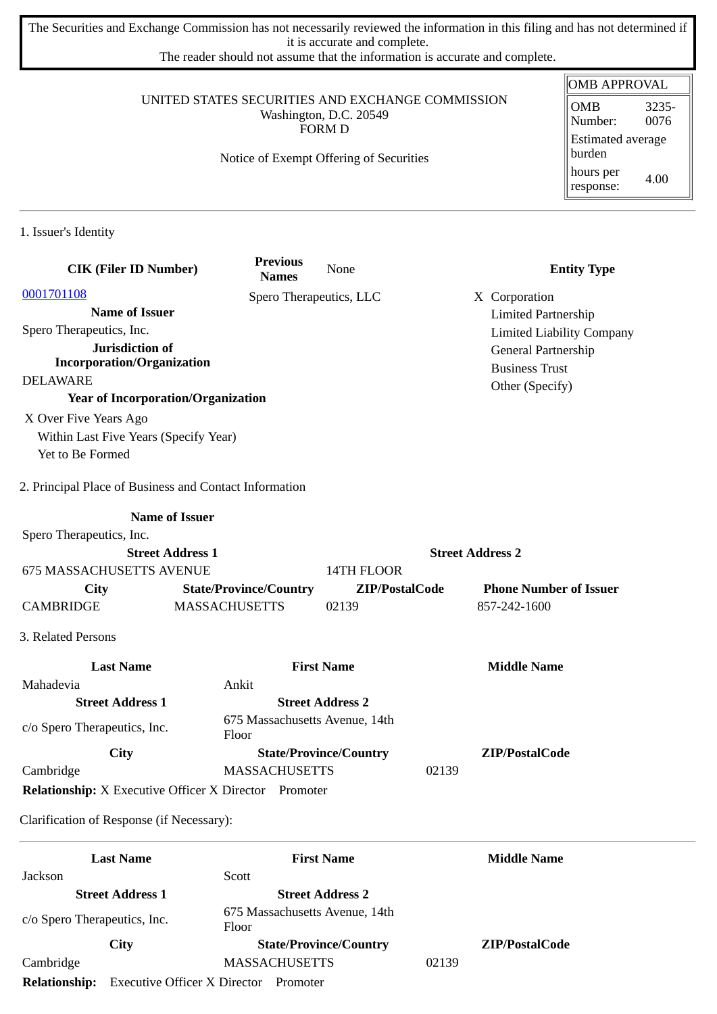The Securities and Exchange Commission has not necessarily reviewed the information in this filing and has not determined if it is accurate and complete.

The reader should not assume that the information is accurate and complete.

### UNITED STATES SECURITIES AND EXCHANGE COMMISSION Washington, D.C. 20549 FORM D

Notice of Exempt Offering of Securities

#### OMB APPROVAL OMB Number: 3235- 0076 Estimated average burden hours per response: 4.00

1. Issuer's Identity

| <b>CIK (Filer ID Number)</b>                                 | <b>Previous</b><br><b>Names</b>         | None                          |                         | <b>Entity Type</b>               |
|--------------------------------------------------------------|-----------------------------------------|-------------------------------|-------------------------|----------------------------------|
| 0001701108                                                   | Spero Therapeutics, LLC                 |                               |                         | X Corporation                    |
| <b>Name of Issuer</b>                                        |                                         |                               |                         | <b>Limited Partnership</b>       |
| Spero Therapeutics, Inc.                                     |                                         |                               |                         | <b>Limited Liability Company</b> |
| Jurisdiction of                                              |                                         |                               |                         | General Partnership              |
| <b>Incorporation/Organization</b>                            |                                         |                               |                         | <b>Business Trust</b>            |
| <b>DELAWARE</b>                                              |                                         |                               |                         | Other (Specify)                  |
| <b>Year of Incorporation/Organization</b>                    |                                         |                               |                         |                                  |
| X Over Five Years Ago                                        |                                         |                               |                         |                                  |
| Within Last Five Years (Specify Year)                        |                                         |                               |                         |                                  |
| Yet to Be Formed                                             |                                         |                               |                         |                                  |
| 2. Principal Place of Business and Contact Information       |                                         |                               |                         |                                  |
| <b>Name of Issuer</b>                                        |                                         |                               |                         |                                  |
| Spero Therapeutics, Inc.                                     |                                         |                               |                         |                                  |
| <b>Street Address 1</b>                                      |                                         |                               | <b>Street Address 2</b> |                                  |
| <b>675 MASSACHUSETTS AVENUE</b>                              |                                         | 14TH FLOOR                    |                         |                                  |
| <b>City</b>                                                  | <b>State/Province/Country</b>           | ZIP/PostalCode                |                         | <b>Phone Number of Issuer</b>    |
| <b>CAMBRIDGE</b>                                             | <b>MASSACHUSETTS</b>                    | 02139                         |                         | 857-242-1600                     |
| 3. Related Persons                                           |                                         |                               |                         |                                  |
| <b>Last Name</b>                                             |                                         | <b>First Name</b>             |                         | <b>Middle Name</b>               |
| Mahadevia                                                    | Ankit                                   |                               |                         |                                  |
| <b>Street Address 1</b>                                      |                                         | <b>Street Address 2</b>       |                         |                                  |
| c/o Spero Therapeutics, Inc.                                 | 675 Massachusetts Avenue, 14th<br>Floor |                               |                         |                                  |
| City                                                         |                                         | <b>State/Province/Country</b> |                         | ZIP/PostalCode                   |
| Cambridge                                                    | <b>MASSACHUSETTS</b>                    |                               | 02139                   |                                  |
| <b>Relationship:</b> X Executive Officer X Director Promoter |                                         |                               |                         |                                  |
| Clarification of Response (if Necessary):                    |                                         |                               |                         |                                  |

|                              | <b>Last Name</b>                    | <b>First Name</b>                       |       | <b>Middle Name</b>    |  |
|------------------------------|-------------------------------------|-----------------------------------------|-------|-----------------------|--|
| Jackson                      |                                     | Scott                                   |       |                       |  |
|                              | <b>Street Address 1</b>             | <b>Street Address 2</b>                 |       |                       |  |
| c/o Spero Therapeutics, Inc. |                                     | 675 Massachusetts Avenue, 14th<br>Floor |       |                       |  |
|                              | City                                | <b>State/Province/Country</b>           |       | <b>ZIP/PostalCode</b> |  |
| Cambridge                    |                                     | <b>MASSACHUSETTS</b>                    | 02139 |                       |  |
| <b>Relationship:</b>         | <b>Executive Officer X Director</b> | Promoter                                |       |                       |  |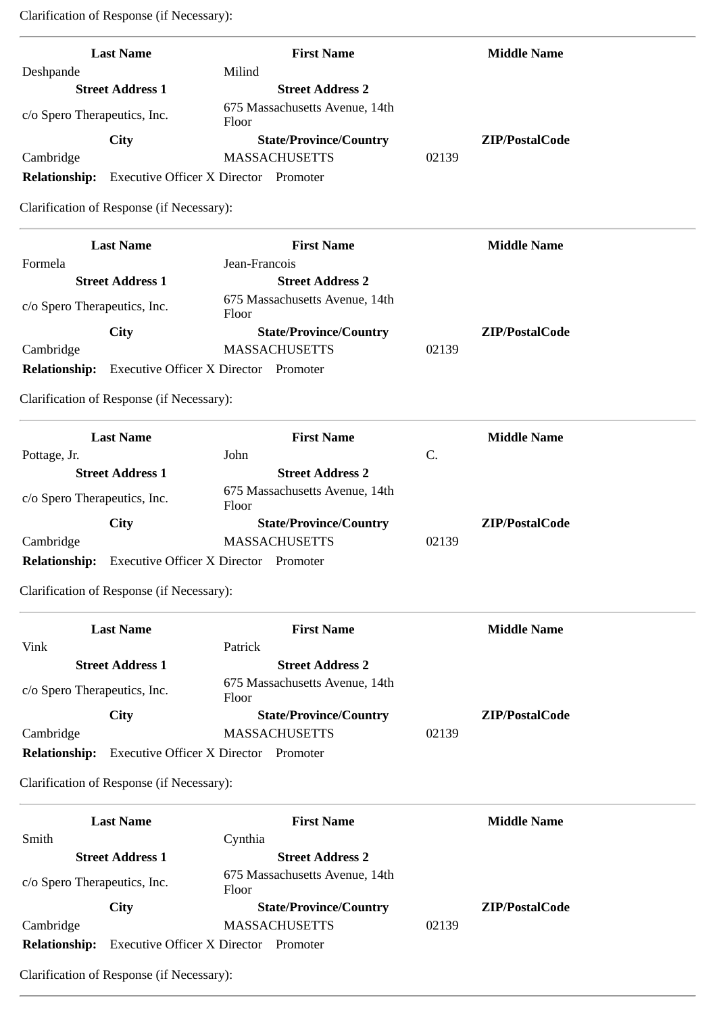Clarification of Response (if Necessary):

| <b>Last Name</b>                          | <b>First Name</b>                            | <b>Middle Name</b> |
|-------------------------------------------|----------------------------------------------|--------------------|
| Deshpande                                 | Milind                                       |                    |
| <b>Street Address 1</b>                   | <b>Street Address 2</b>                      |                    |
| c/o Spero Therapeutics, Inc.              | 675 Massachusetts Avenue, 14th<br>Floor      |                    |
| City                                      | <b>State/Province/Country</b>                | ZIP/PostalCode     |
| Cambridge                                 | <b>MASSACHUSETTS</b>                         | 02139              |
| <b>Relationship:</b>                      | <b>Executive Officer X Director Promoter</b> |                    |
| Clarification of Response (if Necessary): |                                              |                    |
| <b>Last Name</b>                          | <b>First Name</b>                            | <b>Middle Name</b> |
| Formela                                   | Jean-Francois                                |                    |
| <b>Street Address 1</b>                   | <b>Street Address 2</b>                      |                    |
| c/o Spero Therapeutics, Inc.              | 675 Massachusetts Avenue, 14th<br>Floor      |                    |
| City                                      | <b>State/Province/Country</b>                | ZIP/PostalCode     |
| Cambridge                                 | <b>MASSACHUSETTS</b>                         | 02139              |
| <b>Relationship:</b>                      | <b>Executive Officer X Director Promoter</b> |                    |
| Clarification of Response (if Necessary): |                                              |                    |
| <b>Last Name</b>                          | <b>First Name</b>                            | <b>Middle Name</b> |
| Pottage, Jr.                              | John                                         | C.                 |
| <b>Street Address 1</b>                   | <b>Street Address 2</b>                      |                    |
| c/o Spero Therapeutics, Inc.              | 675 Massachusetts Avenue, 14th<br>Floor      |                    |
| City                                      | <b>State/Province/Country</b>                | ZIP/PostalCode     |
| Cambridge                                 | <b>MASSACHUSETTS</b>                         | 02139              |
| <b>Relationship:</b>                      | <b>Executive Officer X Director Promoter</b> |                    |
| Clarification of Response (if Necessary): |                                              |                    |
| <b>Last Name</b>                          | <b>First Name</b>                            | <b>Middle Name</b> |
| Vink                                      | Patrick                                      |                    |
| <b>Street Address 1</b>                   | <b>Street Address 2</b>                      |                    |
| c/o Spero Therapeutics, Inc.              | 675 Massachusetts Avenue, 14th<br>Floor      |                    |
| City                                      | <b>State/Province/Country</b>                | ZIP/PostalCode     |
| Cambridge                                 | <b>MASSACHUSETTS</b>                         | 02139              |

Clarification of Response (if Necessary):

**Relationship:** Executive Officer X Director Promoter

|                              | <b>Last Name</b>                    | <b>First Name</b>                       |       | <b>Middle Name</b> |
|------------------------------|-------------------------------------|-----------------------------------------|-------|--------------------|
| Smith                        |                                     | Cynthia                                 |       |                    |
|                              | <b>Street Address 1</b>             | <b>Street Address 2</b>                 |       |                    |
| c/o Spero Therapeutics, Inc. |                                     | 675 Massachusetts Avenue, 14th<br>Floor |       |                    |
|                              | City                                | <b>State/Province/Country</b>           |       | ZIP/PostalCode     |
| Cambridge                    |                                     | <b>MASSACHUSETTS</b>                    | 02139 |                    |
| <b>Relationship:</b>         | <b>Executive Officer X Director</b> | Promoter                                |       |                    |

Clarification of Response (if Necessary):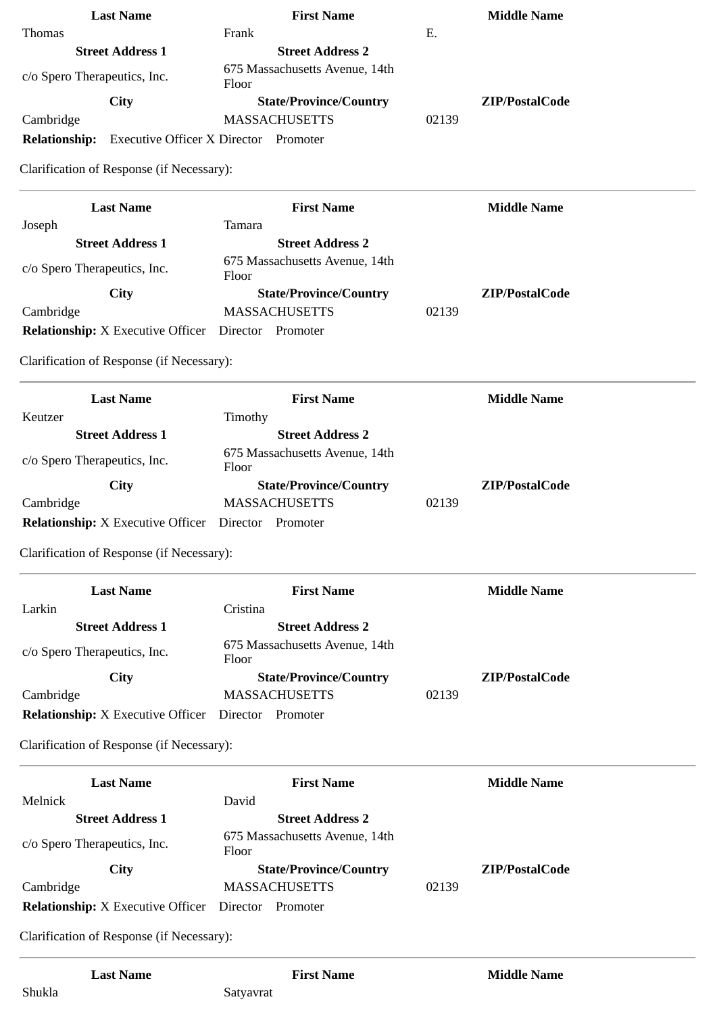|                              | <b>Last Name</b>                    | <b>First Name</b>                       |       | <b>Middle Name</b> |
|------------------------------|-------------------------------------|-----------------------------------------|-------|--------------------|
| <b>Thomas</b>                |                                     | Frank                                   | E.    |                    |
|                              | <b>Street Address 1</b>             | <b>Street Address 2</b>                 |       |                    |
| c/o Spero Therapeutics, Inc. |                                     | 675 Massachusetts Avenue, 14th<br>Floor |       |                    |
|                              | City                                | <b>State/Province/Country</b>           |       | ZIP/PostalCode     |
| Cambridge                    |                                     | <b>MASSACHUSETTS</b>                    | 02139 |                    |
| <b>Relationship:</b>         | <b>Executive Officer X Director</b> | Promoter                                |       |                    |

Clarification of Response (if Necessary):

| <b>Last Name</b>                         | <b>First Name</b>                       |       | <b>Middle Name</b> |
|------------------------------------------|-----------------------------------------|-------|--------------------|
| Joseph                                   | Tamara                                  |       |                    |
| <b>Street Address 1</b>                  | <b>Street Address 2</b>                 |       |                    |
| c/o Spero Therapeutics, Inc.             | 675 Massachusetts Avenue, 14th<br>Floor |       |                    |
| <b>City</b>                              | <b>State/Province/Country</b>           |       | ZIP/PostalCode     |
| Cambridge                                | <b>MASSACHUSETTS</b>                    | 02139 |                    |
| <b>Relationship:</b> X Executive Officer | Director<br>Promoter                    |       |                    |

Clarification of Response (if Necessary):

| <b>Last Name</b>                                  | <b>First Name</b>                       | <b>Middle Name</b> |
|---------------------------------------------------|-----------------------------------------|--------------------|
| Keutzer                                           | Timothy                                 |                    |
| <b>Street Address 1</b>                           | <b>Street Address 2</b>                 |                    |
| c/o Spero Therapeutics, Inc.                      | 675 Massachusetts Avenue, 14th<br>Floor |                    |
| City                                              | <b>State/Province/Country</b>           | ZIP/PostalCode     |
| Cambridge                                         | <b>MASSACHUSETTS</b>                    | 02139              |
| <b>Relationship:</b> X Executive Officer Director | Promoter                                |                    |

Clarification of Response (if Necessary):

| <b>Last Name</b>                         | <b>First Name</b>                       |       | <b>Middle Name</b> |
|------------------------------------------|-----------------------------------------|-------|--------------------|
| Larkin                                   | Cristina                                |       |                    |
| <b>Street Address 1</b>                  | <b>Street Address 2</b>                 |       |                    |
| c/o Spero Therapeutics, Inc.             | 675 Massachusetts Avenue, 14th<br>Floor |       |                    |
| City                                     | <b>State/Province/Country</b>           |       | ZIP/PostalCode     |
| Cambridge                                | <b>MASSACHUSETTS</b>                    | 02139 |                    |
| <b>Relationship:</b> X Executive Officer | Director<br>Promoter                    |       |                    |

Clarification of Response (if Necessary):

| <b>Last Name</b>                         | <b>First Name</b>                       | <b>Middle Name</b> |
|------------------------------------------|-----------------------------------------|--------------------|
| Melnick                                  | David                                   |                    |
| <b>Street Address 1</b>                  | <b>Street Address 2</b>                 |                    |
| c/o Spero Therapeutics, Inc.             | 675 Massachusetts Avenue, 14th<br>Floor |                    |
| City                                     | <b>State/Province/Country</b>           | ZIP/PostalCode     |
| Cambridge                                | <b>MASSACHUSETTS</b>                    | 02139              |
| <b>Relationship:</b> X Executive Officer | Director<br>Promoter                    |                    |

Clarification of Response (if Necessary):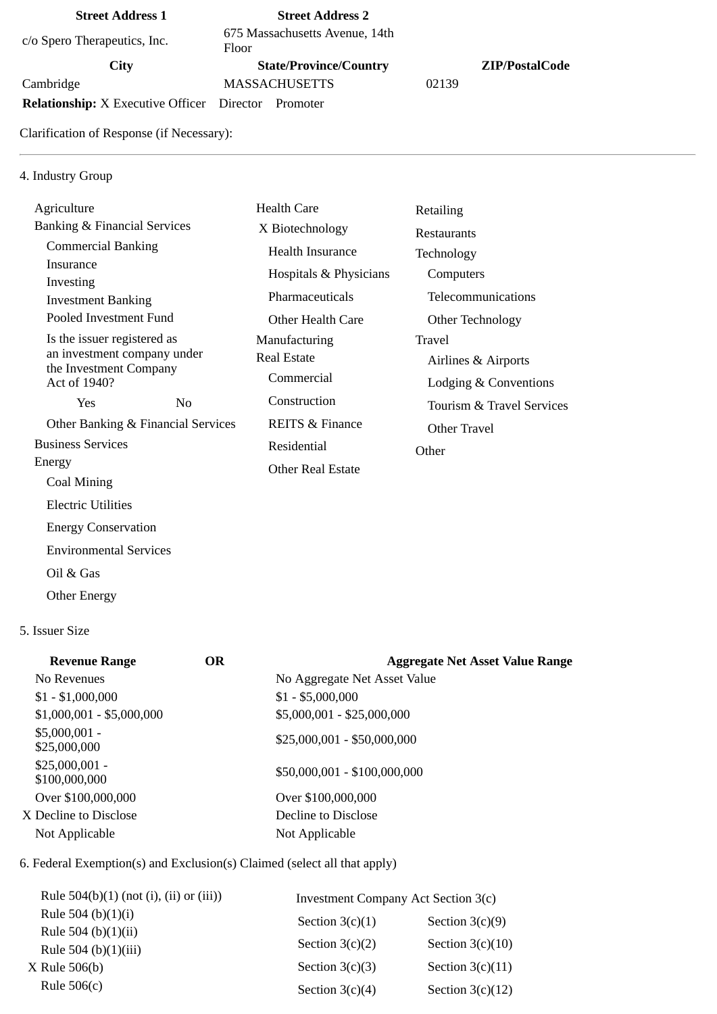## **Street Address 1 Street Address 2**

c/o Spero Therapeutics, Inc. 675 Massachusetts Avenue, 14th

Floor

Cambridge MASSACHUSETTS 02139

**Relationship:** X Executive Officer Director Promoter

Clarification of Response (if Necessary):

## 4. Industry Group

| Agriculture                                           |                | Health Care                | Retailing                 |
|-------------------------------------------------------|----------------|----------------------------|---------------------------|
| <b>Banking &amp; Financial Services</b>               |                | X Biotechnology            | <b>Restaurants</b>        |
| <b>Commercial Banking</b>                             |                | Health Insurance           | Technology                |
| Insurance                                             |                | Hospitals & Physicians     | Computers                 |
| Investing<br><b>Investment Banking</b>                |                | Pharmaceuticals            | Telecommunications        |
| Pooled Investment Fund                                |                | Other Health Care          | Other Technology          |
| Is the issuer registered as                           |                | Manufacturing              | Travel                    |
| an investment company under<br>the Investment Company |                | <b>Real Estate</b>         | Airlines & Airports       |
| Act of 1940?                                          |                | Commercial                 | Lodging & Conventions     |
| Yes                                                   | N <sub>0</sub> | Construction               | Tourism & Travel Services |
| Other Banking & Financial Services                    |                | <b>REITS &amp; Finance</b> | Other Travel              |
| <b>Business Services</b>                              |                | Residential                | Other                     |
| Energy                                                |                | <b>Other Real Estate</b>   |                           |
| Coal Mining                                           |                |                            |                           |

### 5. Issuer Size

Oil & Gas

Other Energy

Electric Utilities

 Energy Conservation Environmental Services

| <b>Revenue Range</b>             | OR. | <b>Aggregate Net Asset Value Range</b> |
|----------------------------------|-----|----------------------------------------|
| No Revenues                      |     | No Aggregate Net Asset Value           |
| $$1 - $1,000,000$                |     | $$1 - $5,000,000$                      |
| $$1,000,001 - $5,000,000$        |     | \$5,000,001 - \$25,000,000             |
| $$5,000,001 -$<br>\$25,000,000   |     | $$25,000,001 - $50,000,000$            |
| $$25,000,001 -$<br>\$100,000,000 |     | \$50,000,001 - \$100,000,000           |
| Over \$100,000,000               |     | Over \$100,000,000                     |
| X Decline to Disclose            |     | Decline to Disclose                    |
| Not Applicable                   |     | Not Applicable                         |
|                                  |     |                                        |

6. Federal Exemption(s) and Exclusion(s) Claimed (select all that apply)

| Rule $504(b)(1)$ (not (i), (ii) or (iii))<br>Investment Company Act Section 3(c) |                    |
|----------------------------------------------------------------------------------|--------------------|
| Rule 504 (b) $(1)(i)$<br>Section $3(c)(1)$                                       | Section $3(c)(9)$  |
| Rule 504 (b) $(1)(ii)$<br>Section $3(c)(2)$<br>Rule 504 (b) $(1)(iii)$           | Section $3(c)(10)$ |
| Section $3(c)(3)$<br>X Rule 506(b)                                               | Section $3(c)(11)$ |
| Rule $506(c)$<br>Section $3(c)(4)$                                               | Section $3(c)(12)$ |

# **City State/Province/Country ZIP/PostalCode**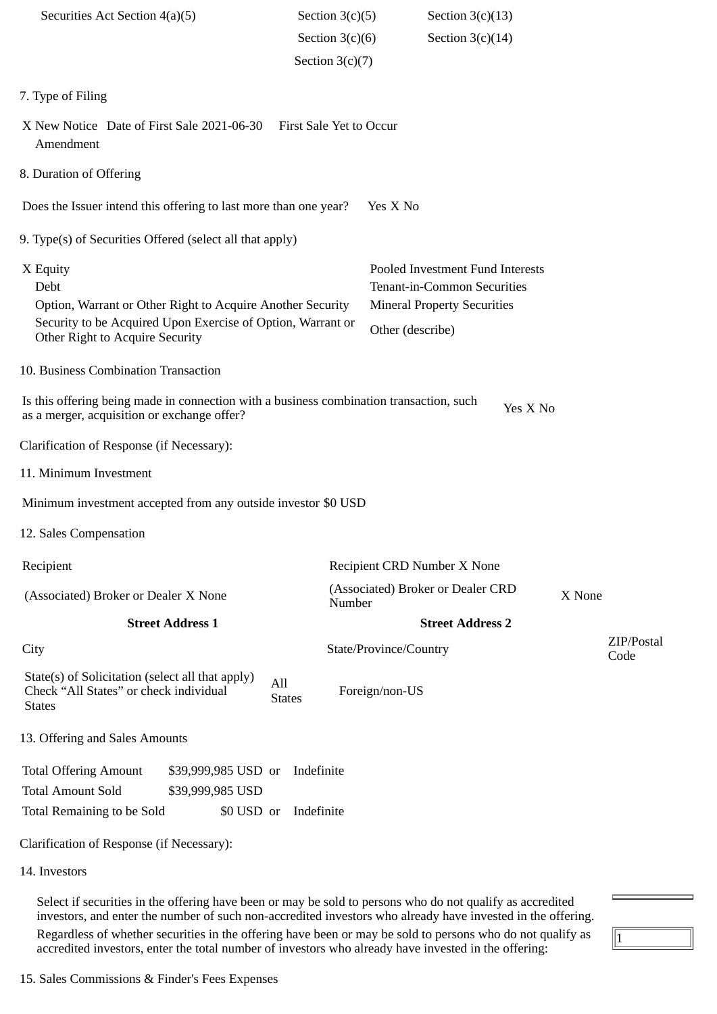| Securities Act Section 4(a)(5)                                                                                                                                                   |                                                       |                      | Section $3(c)(5)$        |                                                                                                                           | Section $3(c)(13)$                |        |                    |  |  |
|----------------------------------------------------------------------------------------------------------------------------------------------------------------------------------|-------------------------------------------------------|----------------------|--------------------------|---------------------------------------------------------------------------------------------------------------------------|-----------------------------------|--------|--------------------|--|--|
|                                                                                                                                                                                  |                                                       |                      | Section $3(c)(6)$        |                                                                                                                           | Section $3(c)(14)$                |        |                    |  |  |
|                                                                                                                                                                                  |                                                       |                      | Section $3(c)(7)$        |                                                                                                                           |                                   |        |                    |  |  |
| 7. Type of Filing                                                                                                                                                                |                                                       |                      |                          |                                                                                                                           |                                   |        |                    |  |  |
| X New Notice Date of First Sale 2021-06-30<br>First Sale Yet to Occur<br>Amendment                                                                                               |                                                       |                      |                          |                                                                                                                           |                                   |        |                    |  |  |
| 8. Duration of Offering                                                                                                                                                          |                                                       |                      |                          |                                                                                                                           |                                   |        |                    |  |  |
| Does the Issuer intend this offering to last more than one year?                                                                                                                 |                                                       |                      |                          | Yes X No                                                                                                                  |                                   |        |                    |  |  |
| 9. Type(s) of Securities Offered (select all that apply)                                                                                                                         |                                                       |                      |                          |                                                                                                                           |                                   |        |                    |  |  |
| X Equity<br>Debt<br>Option, Warrant or Other Right to Acquire Another Security<br>Security to be Acquired Upon Exercise of Option, Warrant or<br>Other Right to Acquire Security |                                                       |                      |                          | Pooled Investment Fund Interests<br>Tenant-in-Common Securities<br><b>Mineral Property Securities</b><br>Other (describe) |                                   |        |                    |  |  |
| 10. Business Combination Transaction                                                                                                                                             |                                                       |                      |                          |                                                                                                                           |                                   |        |                    |  |  |
| Is this offering being made in connection with a business combination transaction, such<br>Yes X No<br>as a merger, acquisition or exchange offer?                               |                                                       |                      |                          |                                                                                                                           |                                   |        |                    |  |  |
| Clarification of Response (if Necessary):                                                                                                                                        |                                                       |                      |                          |                                                                                                                           |                                   |        |                    |  |  |
| 11. Minimum Investment                                                                                                                                                           |                                                       |                      |                          |                                                                                                                           |                                   |        |                    |  |  |
| Minimum investment accepted from any outside investor \$0 USD                                                                                                                    |                                                       |                      |                          |                                                                                                                           |                                   |        |                    |  |  |
| 12. Sales Compensation                                                                                                                                                           |                                                       |                      |                          |                                                                                                                           |                                   |        |                    |  |  |
| Recipient                                                                                                                                                                        |                                                       |                      |                          | Recipient CRD Number X None                                                                                               |                                   |        |                    |  |  |
| (Associated) Broker or Dealer X None                                                                                                                                             |                                                       |                      | Number                   |                                                                                                                           | (Associated) Broker or Dealer CRD | X None |                    |  |  |
|                                                                                                                                                                                  | <b>Street Address 1</b>                               |                      |                          |                                                                                                                           | <b>Street Address 2</b>           |        |                    |  |  |
| City                                                                                                                                                                             |                                                       |                      |                          | State/Province/Country                                                                                                    |                                   |        | ZIP/Postal<br>Code |  |  |
| State(s) of Solicitation (select all that apply)<br>Check "All States" or check individual<br><b>States</b>                                                                      |                                                       | All<br><b>States</b> |                          | Foreign/non-US                                                                                                            |                                   |        |                    |  |  |
| 13. Offering and Sales Amounts                                                                                                                                                   |                                                       |                      |                          |                                                                                                                           |                                   |        |                    |  |  |
| <b>Total Offering Amount</b><br><b>Total Amount Sold</b><br>Total Remaining to be Sold                                                                                           | \$39,999,985 USD or<br>\$39,999,985 USD<br>\$0 USD or |                      | Indefinite<br>Indefinite |                                                                                                                           |                                   |        |                    |  |  |
| Clarification of Response (if Necessary):                                                                                                                                        |                                                       |                      |                          |                                                                                                                           |                                   |        |                    |  |  |
| 14. Investors                                                                                                                                                                    |                                                       |                      |                          |                                                                                                                           |                                   |        |                    |  |  |
| Select if securities in the offering have been or may be sold to persons who do not qualify as accredited                                                                        |                                                       |                      |                          |                                                                                                                           |                                   |        |                    |  |  |

investors, and enter the number of such non-accredited investors who already have invested in the offering. Regardless of whether securities in the offering have been or may be sold to persons who do not qualify as accredited investors, enter the total number of investors who already have invested in the offering:

 $\boxed{1}$